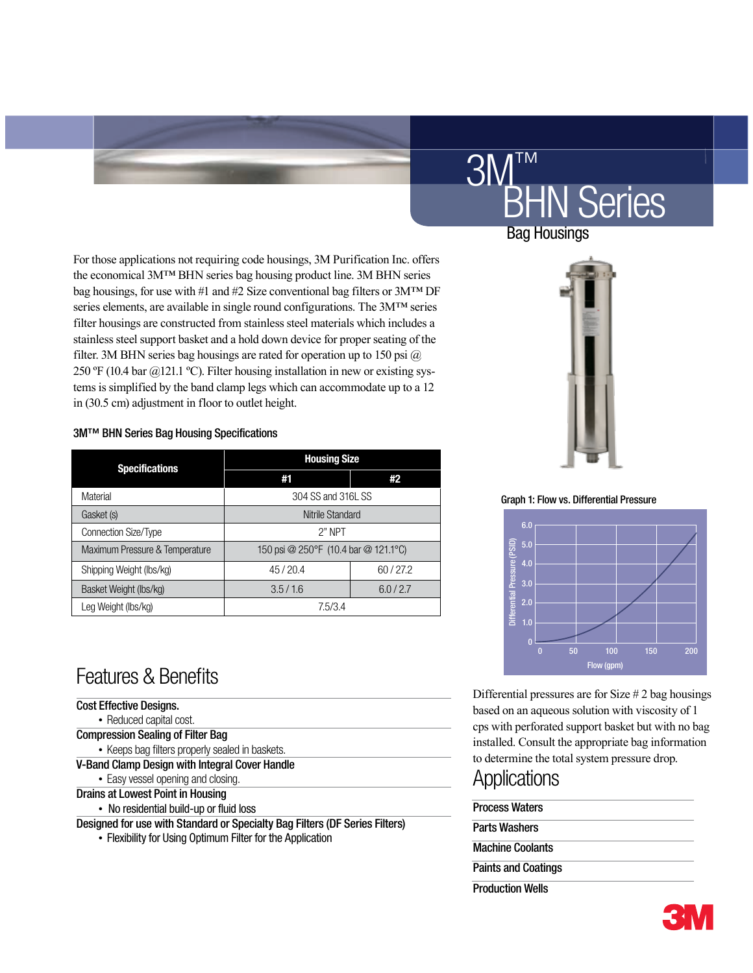# 3M™ **HN Series** Bag Housings

For those applications not requiring code housings, 3M Purification Inc. offers the economical 3M™ BHN series bag housing product line. 3M BHN series bag housings, for use with #1 and #2 Size conventional bag filters or 3M™ DF series elements, are available in single round configurations. The 3M™ series filter housings are constructed from stainless steel materials which includes a stainless steel support basket and a hold down device for proper seating of the filter. 3M BHN series bag housings are rated for operation up to 150 psi  $\omega$ 250 ºF (10.4 bar @121.1 ºC). Filter housing installation in new or existing systems is simplified by the band clamp legs which can accommodate up to a 12 in (30.5 cm) adjustment in floor to outlet height.

## 3M™ BHN Series Bag Housing Specifications

| <b>Specifications</b>          | <b>Housing Size</b>                  |           |  |  |
|--------------------------------|--------------------------------------|-----------|--|--|
|                                | #1                                   | #2        |  |  |
| Material                       | 304 SS and 316L SS                   |           |  |  |
| Gasket (s)                     | Nitrile Standard                     |           |  |  |
| <b>Connection Size/Type</b>    | $2"$ NPT                             |           |  |  |
| Maximum Pressure & Temperature | 150 psi @ 250°F (10.4 bar @ 121.1°C) |           |  |  |
| Shipping Weight (lbs/kg)       | 45/20.4                              | 60/27.2   |  |  |
| Basket Weight (lbs/kg)         | 3.5/1.6                              | 6.0 / 2.7 |  |  |
| Leg Weight (lbs/kg)            | 7.5/3.4                              |           |  |  |

# Features & Benefits

| <b>Cost Effective Designs.</b>                                              |
|-----------------------------------------------------------------------------|
| • Reduced capital cost.                                                     |
| <b>Compression Sealing of Filter Bag</b>                                    |
| • Keeps bag filters properly sealed in baskets.                             |
| V-Band Clamp Design with Integral Cover Handle                              |
| • Easy vessel opening and closing.                                          |
| <b>Drains at Lowest Point in Housing</b>                                    |
| • No residential build-up or fluid loss                                     |
| Designed for use with Standard or Specialty Bag Filters (DF Series Filters) |
| . Elevibility for Uning Ontimum Filter for the Annliagtion                  |

• Flexibility for Using Optimum Filter for the Application



Graph 1: Flow vs. Differential Pressure



Differential pressures are for Size # 2 bag housings based on an aqueous solution with viscosity of 1 cps with perforated support basket but with no bag installed. Consult the appropriate bag information to determine the total system pressure drop.

# Applications

| <b>Process Waters</b>      |  |
|----------------------------|--|
| Parts Washers              |  |
| <b>Machine Coolants</b>    |  |
| <b>Paints and Coatings</b> |  |
| <b>Production Wells</b>    |  |